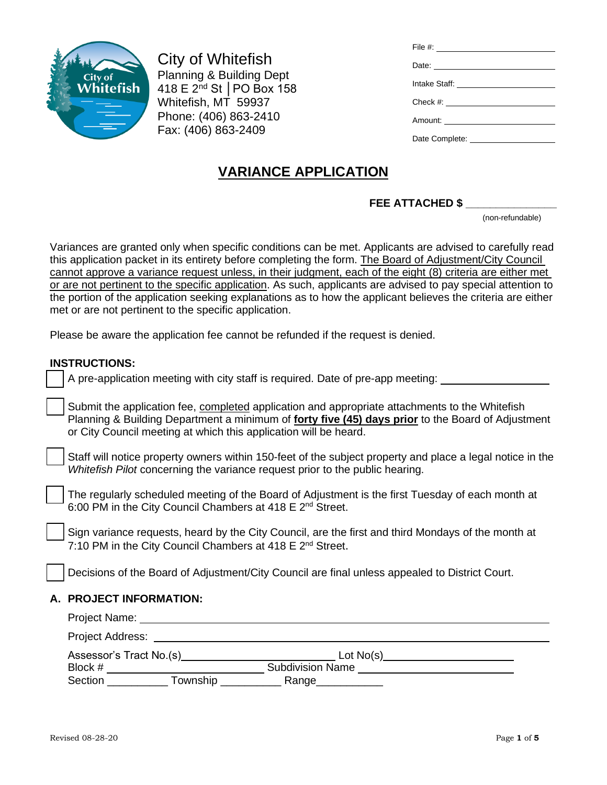

City of Whitefish Planning & Building Dept 418 E 2nd St │PO Box 158 Whitefish, MT 59937 Phone: (406) 863-2410 Fax: (406) 863-2409

| Date: <u>Date:</u> |
|--------------------|
| Intake Staff:      |
|                    |
|                    |
|                    |
|                    |

# **VARIANCE APPLICATION**

# **FEE ATTACHED \$ \_\_\_\_\_\_\_\_\_\_\_\_\_\_\_**

(non-refundable)

Variances are granted only when specific conditions can be met. Applicants are advised to carefully read this application packet in its entirety before completing the form. The Board of Adjustment/City Council cannot approve a variance request unless, in their judgment, each of the eight (8) criteria are either met or are not pertinent to the specific application. As such, applicants are advised to pay special attention to the portion of the application seeking explanations as to how the applicant believes the criteria are either met or are not pertinent to the specific application.

Please be aware the application fee cannot be refunded if the request is denied.

### **INSTRUCTIONS:**

| טווטו ו טעם וכווו.                                                                                                                                                                                                                                                             |  |  |  |  |
|--------------------------------------------------------------------------------------------------------------------------------------------------------------------------------------------------------------------------------------------------------------------------------|--|--|--|--|
| A pre-application meeting with city staff is required. Date of pre-app meeting: _______                                                                                                                                                                                        |  |  |  |  |
| Submit the application fee, completed application and appropriate attachments to the Whitefish<br>Planning & Building Department a minimum of <b>forty five (45) days prior</b> to the Board of Adjustment<br>or City Council meeting at which this application will be heard. |  |  |  |  |
| Staff will notice property owners within 150-feet of the subject property and place a legal notice in the<br>Whitefish Pilot concerning the variance request prior to the public hearing.                                                                                      |  |  |  |  |
| The regularly scheduled meeting of the Board of Adjustment is the first Tuesday of each month at<br>6:00 PM in the City Council Chambers at 418 E 2 <sup>nd</sup> Street.                                                                                                      |  |  |  |  |
| Sign variance requests, heard by the City Council, are the first and third Mondays of the month at<br>7:10 PM in the City Council Chambers at 418 E 2 <sup>nd</sup> Street.                                                                                                    |  |  |  |  |
| Decisions of the Board of Adjustment/City Council are final unless appealed to District Court.                                                                                                                                                                                 |  |  |  |  |
| A. PROJECT INFORMATION:                                                                                                                                                                                                                                                        |  |  |  |  |
|                                                                                                                                                                                                                                                                                |  |  |  |  |
|                                                                                                                                                                                                                                                                                |  |  |  |  |
|                                                                                                                                                                                                                                                                                |  |  |  |  |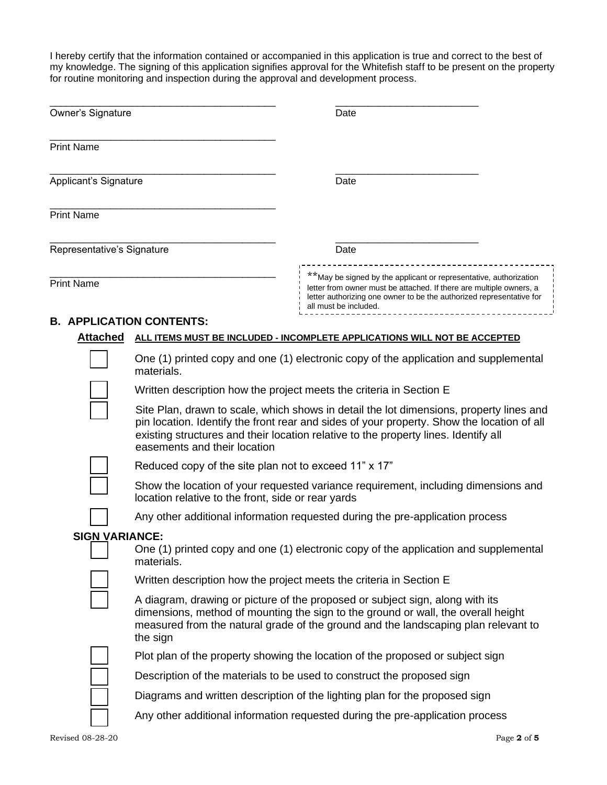I hereby certify that the information contained or accompanied in this application is true and correct to the best of my knowledge. The signing of this application signifies approval for the Whitefish staff to be present on the property for routine monitoring and inspection during the approval and development process.

| Owner's Signature                                                                                                           |                                                                                                                                                                                                                                                                      | Date                                                                                                                                                                                                                                                                         |  |
|-----------------------------------------------------------------------------------------------------------------------------|----------------------------------------------------------------------------------------------------------------------------------------------------------------------------------------------------------------------------------------------------------------------|------------------------------------------------------------------------------------------------------------------------------------------------------------------------------------------------------------------------------------------------------------------------------|--|
|                                                                                                                             |                                                                                                                                                                                                                                                                      |                                                                                                                                                                                                                                                                              |  |
| <b>Print Name</b>                                                                                                           |                                                                                                                                                                                                                                                                      |                                                                                                                                                                                                                                                                              |  |
| Applicant's Signature                                                                                                       |                                                                                                                                                                                                                                                                      | Date                                                                                                                                                                                                                                                                         |  |
| <b>Print Name</b>                                                                                                           |                                                                                                                                                                                                                                                                      |                                                                                                                                                                                                                                                                              |  |
| Representative's Signature                                                                                                  |                                                                                                                                                                                                                                                                      | Date                                                                                                                                                                                                                                                                         |  |
| <b>Print Name</b>                                                                                                           |                                                                                                                                                                                                                                                                      | **May be signed by the applicant or representative, authorization<br>letter from owner must be attached. If there are multiple owners, a<br>letter authorizing one owner to be the authorized representative for<br>all must be included.                                    |  |
|                                                                                                                             | <b>B. APPLICATION CONTENTS:</b>                                                                                                                                                                                                                                      |                                                                                                                                                                                                                                                                              |  |
| <b>Attached</b>                                                                                                             |                                                                                                                                                                                                                                                                      | ALL ITEMS MUST BE INCLUDED - INCOMPLETE APPLICATIONS WILL NOT BE ACCEPTED                                                                                                                                                                                                    |  |
|                                                                                                                             | materials.                                                                                                                                                                                                                                                           | One (1) printed copy and one (1) electronic copy of the application and supplemental                                                                                                                                                                                         |  |
|                                                                                                                             |                                                                                                                                                                                                                                                                      | Written description how the project meets the criteria in Section E                                                                                                                                                                                                          |  |
|                                                                                                                             | easements and their location                                                                                                                                                                                                                                         | Site Plan, drawn to scale, which shows in detail the lot dimensions, property lines and<br>pin location. Identify the front rear and sides of your property. Show the location of all<br>existing structures and their location relative to the property lines. Identify all |  |
|                                                                                                                             | Reduced copy of the site plan not to exceed 11" x 17"                                                                                                                                                                                                                |                                                                                                                                                                                                                                                                              |  |
|                                                                                                                             | location relative to the front, side or rear yards                                                                                                                                                                                                                   | Show the location of your requested variance requirement, including dimensions and                                                                                                                                                                                           |  |
|                                                                                                                             |                                                                                                                                                                                                                                                                      | Any other additional information requested during the pre-application process                                                                                                                                                                                                |  |
| <b>SIGN VARIANCE:</b><br>One (1) printed copy and one (1) electronic copy of the application and supplemental<br>materials. |                                                                                                                                                                                                                                                                      |                                                                                                                                                                                                                                                                              |  |
|                                                                                                                             |                                                                                                                                                                                                                                                                      | Written description how the project meets the criteria in Section E                                                                                                                                                                                                          |  |
|                                                                                                                             | A diagram, drawing or picture of the proposed or subject sign, along with its<br>dimensions, method of mounting the sign to the ground or wall, the overall height<br>measured from the natural grade of the ground and the landscaping plan relevant to<br>the sign |                                                                                                                                                                                                                                                                              |  |
|                                                                                                                             |                                                                                                                                                                                                                                                                      | Plot plan of the property showing the location of the proposed or subject sign                                                                                                                                                                                               |  |
|                                                                                                                             |                                                                                                                                                                                                                                                                      | Description of the materials to be used to construct the proposed sign                                                                                                                                                                                                       |  |
|                                                                                                                             |                                                                                                                                                                                                                                                                      | Diagrams and written description of the lighting plan for the proposed sign                                                                                                                                                                                                  |  |
|                                                                                                                             |                                                                                                                                                                                                                                                                      | Any other additional information requested during the pre-application process                                                                                                                                                                                                |  |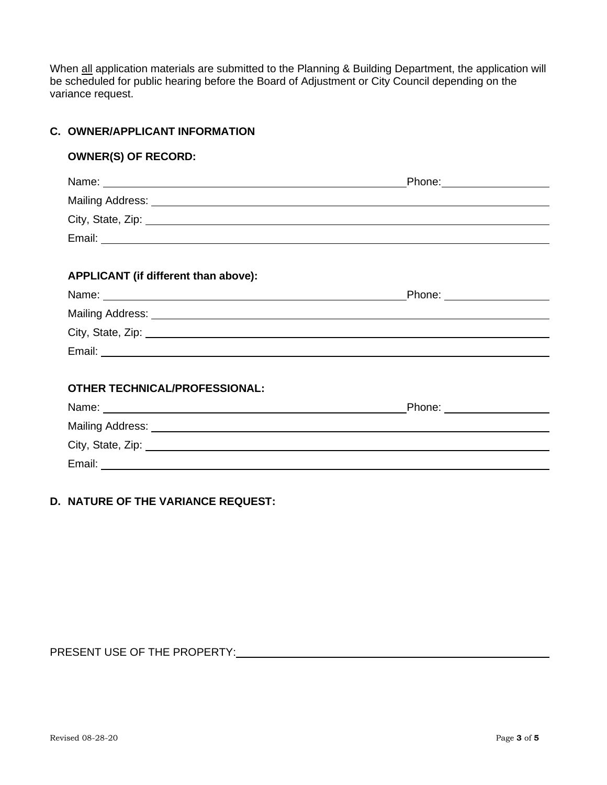When all application materials are submitted to the Planning & Building Department, the application will be scheduled for public hearing before the Board of Adjustment or City Council depending on the variance request.

# **C. OWNER/APPLICANT INFORMATION**

### **OWNER(S) OF RECORD:**

| City, State, Zip: 2008. Experience of the State of Table 1999. The State of Table 2009. The State of Table 200 |                             |  |  |  |
|----------------------------------------------------------------------------------------------------------------|-----------------------------|--|--|--|
|                                                                                                                |                             |  |  |  |
|                                                                                                                |                             |  |  |  |
| APPLICANT (if different than above):                                                                           |                             |  |  |  |
|                                                                                                                | _Phone: ___________________ |  |  |  |
|                                                                                                                |                             |  |  |  |
| City, State, Zip: 2008. Experience of the State of Table 2008. The State of Table 2008. The State of Table 200 |                             |  |  |  |
|                                                                                                                |                             |  |  |  |
|                                                                                                                |                             |  |  |  |
| <b>OTHER TECHNICAL/PROFESSIONAL:</b>                                                                           |                             |  |  |  |
|                                                                                                                |                             |  |  |  |
|                                                                                                                |                             |  |  |  |
| City, State, Zip: 2008. Experience of the State of Table 1999. The State of Table 2009. The State of Table 200 |                             |  |  |  |
|                                                                                                                |                             |  |  |  |

#### **D. NATURE OF THE VARIANCE REQUEST:**

## PRESENT USE OF THE PROPERTY: Network and the set of the set of the set of the set of the set of the set of the set of the set of the set of the set of the set of the set of the set of the set of the set of the set of the s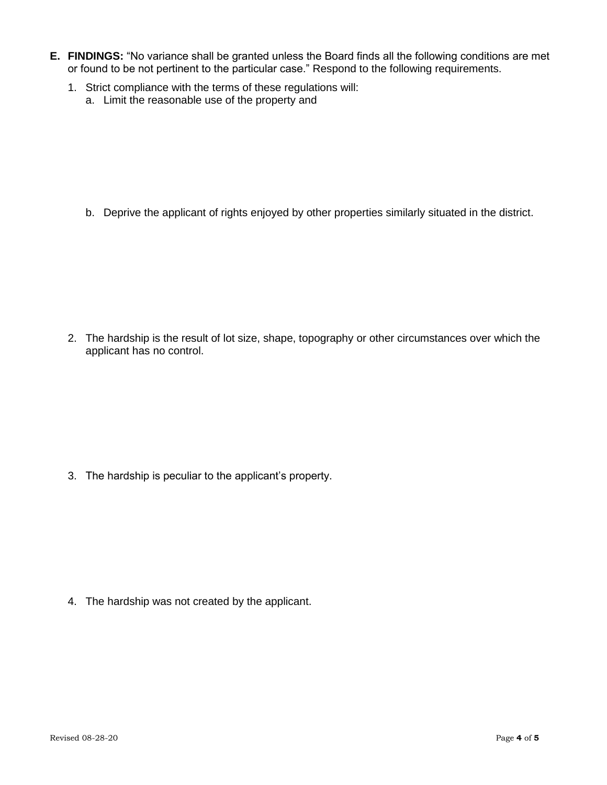- **E. FINDINGS:** "No variance shall be granted unless the Board finds all the following conditions are met or found to be not pertinent to the particular case." Respond to the following requirements.
	- 1. Strict compliance with the terms of these regulations will:
		- a. Limit the reasonable use of the property and

b. Deprive the applicant of rights enjoyed by other properties similarly situated in the district.

2. The hardship is the result of lot size, shape, topography or other circumstances over which the applicant has no control.

3. The hardship is peculiar to the applicant's property.

4. The hardship was not created by the applicant.